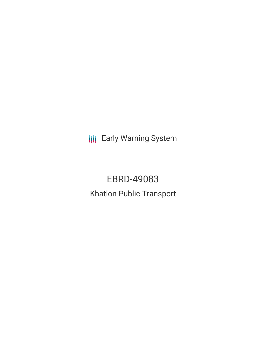**III** Early Warning System

EBRD-49083 Khatlon Public Transport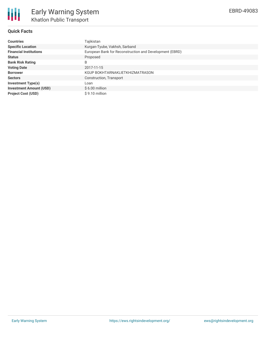

# **Quick Facts**

| <b>Countries</b>               | Tajikistan                                              |
|--------------------------------|---------------------------------------------------------|
| <b>Specific Location</b>       | Kurgan-Tyube, Vakhsh, Sarband                           |
| <b>Financial Institutions</b>  | European Bank for Reconstruction and Development (EBRD) |
| <b>Status</b>                  | Proposed                                                |
| <b>Bank Risk Rating</b>        | B                                                       |
| <b>Voting Date</b>             | 2017-11-15                                              |
| <b>Borrower</b>                | KGUP BOKHTARNAKLIETKHIZMATRASON                         |
| <b>Sectors</b>                 | Construction, Transport                                 |
| <b>Investment Type(s)</b>      | Loan                                                    |
| <b>Investment Amount (USD)</b> | $$6.00$ million                                         |
| <b>Project Cost (USD)</b>      | \$9.10 million                                          |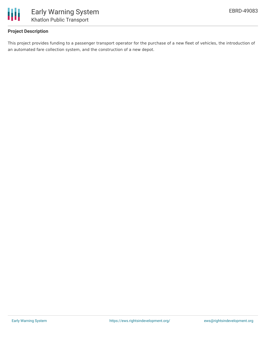

# **Project Description**

This project provides funding to a passenger transport operator for the purchase of a new fleet of vehicles, the introduction of an automated fare collection system, and the construction of a new depot.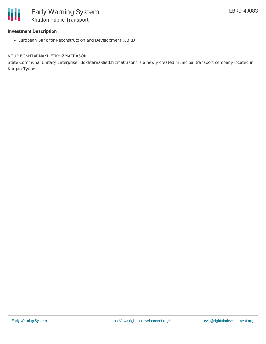

### **Investment Description**

European Bank for Reconstruction and Development (EBRD)

#### KGUP BOKHTARNAKLIETKHIZMATRASON

State Communal Unitary Enterprise "Bokhtarnaklietkhizmatrason" is a newly created municipal transport company located in Kurgan-Tyube.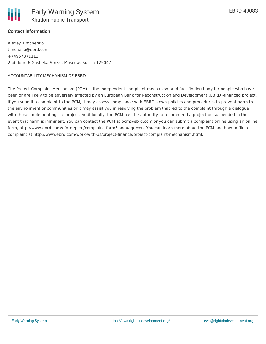

### **Contact Information**

Alexey Timchenko timchena@ebrd.com +74957871111 2nd floor, 6 Gasheka Street, Moscow, Russia 125047

#### ACCOUNTABILITY MECHANISM OF EBRD

The Project Complaint Mechanism (PCM) is the independent complaint mechanism and fact-finding body for people who have been or are likely to be adversely affected by an European Bank for Reconstruction and Development (EBRD)-financed project. If you submit a complaint to the PCM, it may assess compliance with EBRD's own policies and procedures to prevent harm to the environment or communities or it may assist you in resolving the problem that led to the complaint through a dialogue with those implementing the project. Additionally, the PCM has the authority to recommend a project be suspended in the event that harm is imminent. You can contact the PCM at pcm@ebrd.com or you can submit a complaint online using an online form, http://www.ebrd.com/eform/pcm/complaint\_form?language=en. You can learn more about the PCM and how to file a complaint at http://www.ebrd.com/work-with-us/project-finance/project-complaint-mechanism.html.